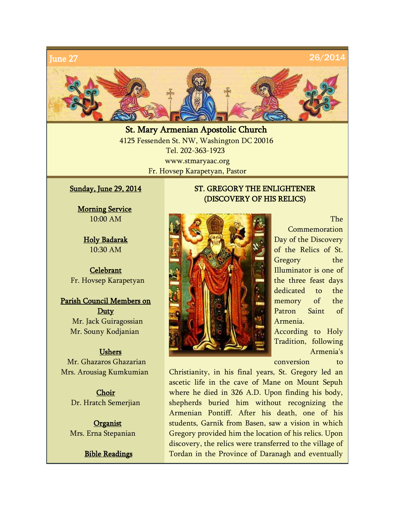

St. Mary Armenian Apostolic Church 4125 Fessenden St. NW, Washington DC 20016 Tel. 202-363-1923 www.stmaryaac.org Fr. Hovsep Karapetyan, Pastor

## Sunday, June 29, 2014

**Morning Service** 10:00 AM

Holy Badarak 10:30 AM

**Celebrant** Fr. Hovsep Karapetyan

Parish Council Members on Duty Mr. Jack Guiragossian Mr. Souny Kodjanian

#### Ushers

Mr. Ghazaros Ghazarian Mrs. Arousiag Kumkumian

> Choir Dr. Hratch Semerjian

**Organist** Mrs. Erna Stepanian

Bible Readings

# ST. GREGORY THE ENLIGHTENER (DISCOVERY OF HIS RELICS)



The Commemoration Day of the Discovery of the Relics of St. Gregory the Illuminator is one of the three feast days dedicated to the memory of the Patron Saint of Armenia. According to Holy

Tradition, following Armenia's

conversion to

Christianity, in his final years, St. Gregory led an ascetic life in the cave of Mane on Mount Sepuh where he died in 326 A.D. Upon finding his body, shepherds buried him without recognizing the Armenian Pontiff. After his death, one of his students, Garnik from Basen, saw a vision in which Gregory provided him the location of his relics. Upon discovery, the relics were transferred to the village of Tordan in the Province of Daranagh and eventually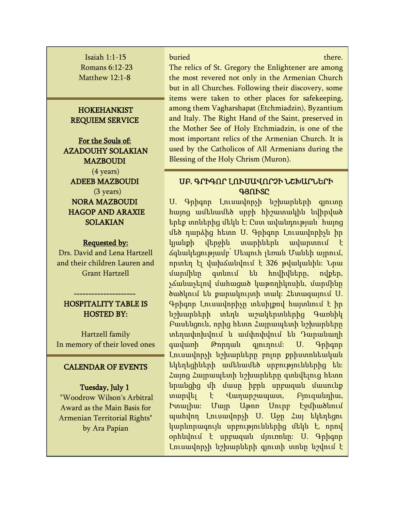Isaiah 1:1-15 Romans 6:12-23 Matthew 12:1-8

## HOKEHANKIST REQUIEM SERVICE

For the Souls of: AZADOUHY SOLAKIAN **MAZBOUDI** (4 years) ADEEB MAZBOUDI (3 years) NORA MAZBOUDI HAGOP AND ARAXIE SOLAKIAN

#### Requested by:

Drs. David and Lena Hartzell and their children Lauren and Grant Hartzell

#### HOSPITALITY TABLE IS HOSTED BY:

--------------------

Hartzell family In memory of their loved ones

### CALENDAR OF EVENTS

## Tuesday, July 1

"Woodrow Wilson's Arbitral Award as the Main Basis for Armenian Territorial Rights" by Ara Papian

buried there. The contract of the contract of the contract of the contract of the contract of the contract of the contract of the contract of the contract of the contract of the contract of the contract of the contract of

The relics of St. Gregory the Enlightener are among the most revered not only in the Armenian Church but in all Churches. Following their discovery, some items were taken to other places for safekeeping, among them Vagharshapat (Etchmiadzin), Byzantium and Italy. The Right Hand of the Saint, preserved in the Mother See of Holy Etchmiadzin, is one of the most important relics of the Armenian Church. It is used by the Catholicos of All Armenians during the Blessing of the Holy Chrism (Muron).

# ՍԲ. ԳՐԻԳՈՐ ԼՈՒՍԱՎՈՐՉԻ ՆՇԽԱՐՆԵՐԻ ԳՅՈՒՏԸ

Ս. Գրիգոր Լուսավորչի նշխարների գյուտը հայոց ամենամեծ սրբի հիշատակին նվիրված երեք տոներից մեկն է: Ըստ ավանդության՝ հայոց մեծ դարձից հետո Ս. Գրիգոր Լուսավորիչն իր կյանքի վերջին տարիներն ավարտում է ճգնակեցությամբ՝ Սեպուհ լեռան Մանեի այրում, որտեղ էլ վախճանվում է 326 թվականին: Նրա մարմինը գտնում են հովիվները, ովքեր, չճանաչելով մահացած կաթողիկոսին, մարմինը ծածկում են քարակույտի տակ: Հետագայում Ս. Գրիգոր Լուսավորիչը տեսիլքով հայտնում է իր նշխարների տեղն աշակերտներից Գառնիկ Բասենցուն, որից հետո Հայրապետի նշխարները տեղափոխվում և ամփոփվում են Դարանաղի գավառի Թորդան գյուղում: Ս. Գրիգոր Լուսավորչի նշխարները բոլոր քրիստոնեական եկեղեցիների ամենամեծ սրբություններից են: Հայոց Հայրապետի նշխարները գտնվելուց հետո նրանցից մի մասը իբրև սրբազան մասունք տարվել է Վաղարշապատ, Բյուզանդիա, Իտալիա: Մայր Աթոռ Սուրբ Էջմիածնում պահվող Լուսավորչի Ս. Աջը Հայ եկեղեցու կարևորագույն սրբություններից մեկն է, որով օրհնվում է սրբազան մյուռոնը: Ս. Գրիգոր Լուսավորչի նշխարների գյուտի տոնը նշվում է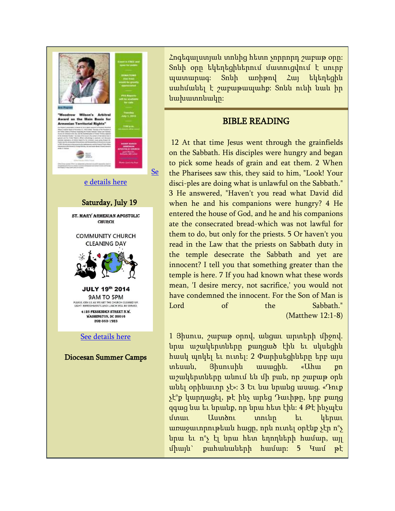

Հոգեգալստյան տոնից հետո չորրորդ շաբաթ օրը: Տոնի օրը եկեղեցիներում մատուցվում է սուրբ պատարագ: Տոնի առիթով Հայ եկեղեցին սահմանել է շաբաթապահք: Տոնն ունի նաև իր նախատոնակը:

# BIBLE READING

12 At that time Jesus went through the grainfields on the Sabbath. His disciples were hungry and began to pick some heads of grain and eat them. 2 When the Pharisees saw this, they said to him, "Look! Your disci-ples are doing what is unlawful on the Sabbath." 3 He answered, "Haven't you read what David did when he and his companions were hungry? 4 He entered the house of God, and he and his companions ate the consecrated bread-which was not lawful for them to do, but only for the priests. 5 Or haven't you read in the Law that the priests on Sabbath duty in the temple desecrate the Sabbath and yet are innocent? I tell you that something greater than the temple is here. 7 If you had known what these words mean, 'I desire mercy, not sacrifice,' you would not have condemned the innocent. For the Son of Man is Lord of the Sabbath." (Matthew 12:1-8)

1 Յիսուս, շաբաթ օրով, անցաւ արտերի միջով. նրա աշակերտները քաղցած էին եւ սկսեցին հասկ պոկել եւ ուտել: 2 Փարիսեցիները երբ այս տեսան, Յիսուսին ասացին. «Ահա քո աշակերտները անում են մի բան, որ շաբաթ օրն անել օրինաւոր չէ»: 3 Եւ նա նրանց ասաց. «Դուք չէ°ք կարդացել, թէ ինչ արեց Դաւիթը, երբ քաղց զգաց նա եւ նրանք, որ նրա հետ էին: 4 Թէ ինչպէս մտաւ Աստծու տունը եւ կերաւ առաջաւորութեան հացը, որն ուտել օրէնք չէր ո°չ նրա եւ ո°չ էլ նրա հետ եղողների համար, այլ միայն` քահանաների համար: 5 Կամ թէ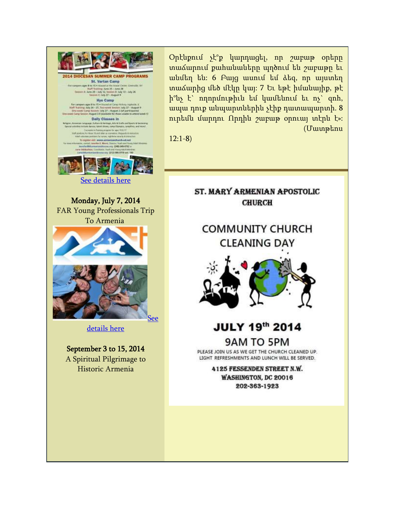

Օրէնքում չէ°ք կարդացել, որ շաբաթ օրերը տաճարում քահանաները պղծում են շաբաթը եւ անմեղ են: 6 Բայց ասում եմ ձեզ, որ այստեղ տաճարից մեծ մէկը կայ: 7 Եւ եթէ իմանայիք, թէ ի°նչ է` ողորմութիւն եմ կամենում եւ ոչ` զոհ, ապա դուք անպարտներին չէիք դատապարտի. 8 ուրեմն մարդու Որդին շաբաթ օրուայ տէրն է»: (Մատթեոս

12:1-8)